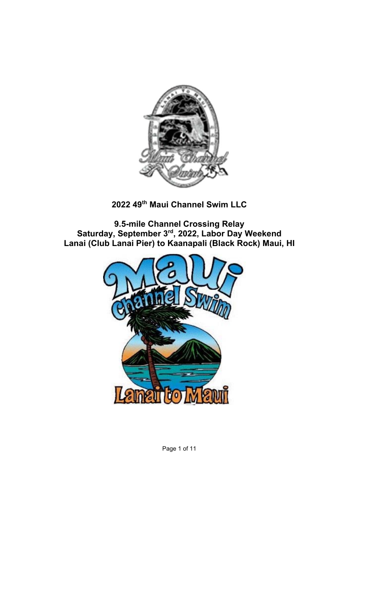

### **2022 49th Maui Channel Swim LLC**

**9.5-mile Channel Crossing Relay Saturday, September 3rd, 2022, Labor Day Weekend Lanai (Club Lanai Pier) to Kaanapali (Black Rock) Maui, HI**



Page 1 of 11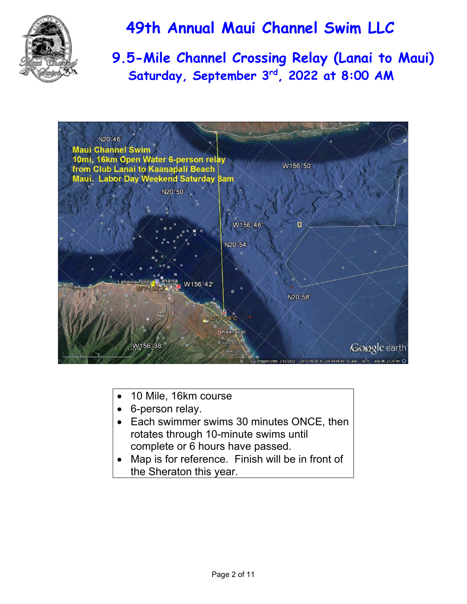

 **9.5-Mile Channel Crossing Relay (Lanai to Maui) Saturday, September 3rd, 2022 at 8:00 AM** 



- 10 Mile, 16km course
- 6-person relay.
- Each swimmer swims 30 minutes ONCE, then rotates through 10-minute swims until complete or 6 hours have passed.
- Map is for reference. Finish will be in front of the Sheraton this year.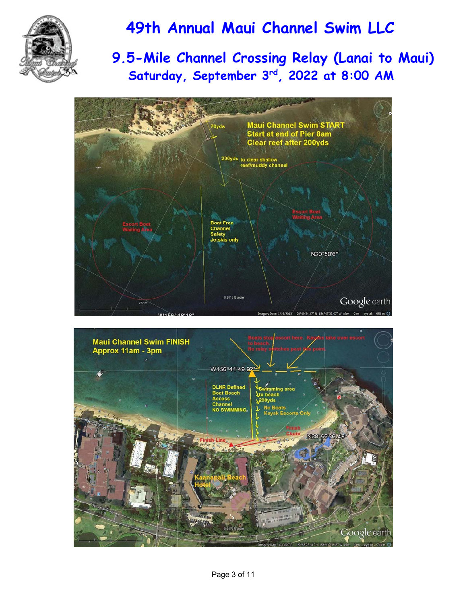

## **9.5-Mile Channel Crossing Relay (Lanai to Maui) Saturday, September 3rd, 2022 at 8:00 AM**



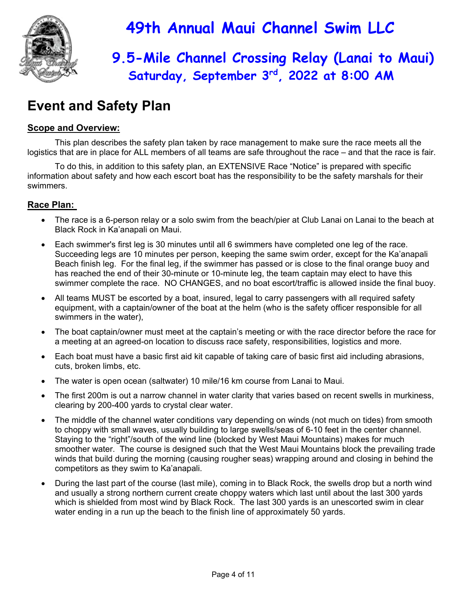

## **9.5-Mile Channel Crossing Relay (Lanai to Maui) Saturday, September 3rd, 2022 at 8:00 AM**

## **Event and Safety Plan**

### **Scope and Overview:**

This plan describes the safety plan taken by race management to make sure the race meets all the logistics that are in place for ALL members of all teams are safe throughout the race – and that the race is fair.

 To do this, in addition to this safety plan, an EXTENSIVE Race "Notice" is prepared with specific information about safety and how each escort boat has the responsibility to be the safety marshals for their swimmers.

### **Race Plan:**

- The race is a 6-person relay or a solo swim from the beach/pier at Club Lanai on Lanai to the beach at Black Rock in Ka'anapali on Maui.
- Each swimmer's first leg is 30 minutes until all 6 swimmers have completed one leg of the race. Succeeding legs are 10 minutes per person, keeping the same swim order, except for the Ka'anapali Beach finish leg. For the final leg, if the swimmer has passed or is close to the final orange buoy and has reached the end of their 30-minute or 10-minute leg, the team captain may elect to have this swimmer complete the race. NO CHANGES, and no boat escort/traffic is allowed inside the final buoy.
- All teams MUST be escorted by a boat, insured, legal to carry passengers with all required safety equipment, with a captain/owner of the boat at the helm (who is the safety officer responsible for all swimmers in the water),
- The boat captain/owner must meet at the captain's meeting or with the race director before the race for a meeting at an agreed-on location to discuss race safety, responsibilities, logistics and more.
- Each boat must have a basic first aid kit capable of taking care of basic first aid including abrasions, cuts, broken limbs, etc.
- The water is open ocean (saltwater) 10 mile/16 km course from Lanai to Maui.
- The first 200m is out a narrow channel in water clarity that varies based on recent swells in murkiness, clearing by 200-400 yards to crystal clear water.
- The middle of the channel water conditions vary depending on winds (not much on tides) from smooth to choppy with small waves, usually building to large swells/seas of 6-10 feet in the center channel. Staying to the "right"/south of the wind line (blocked by West Maui Mountains) makes for much smoother water. The course is designed such that the West Maui Mountains block the prevailing trade winds that build during the morning (causing rougher seas) wrapping around and closing in behind the competitors as they swim to Ka'anapali.
- During the last part of the course (last mile), coming in to Black Rock, the swells drop but a north wind and usually a strong northern current create choppy waters which last until about the last 300 yards which is shielded from most wind by Black Rock. The last 300 yards is an unescorted swim in clear water ending in a run up the beach to the finish line of approximately 50 yards.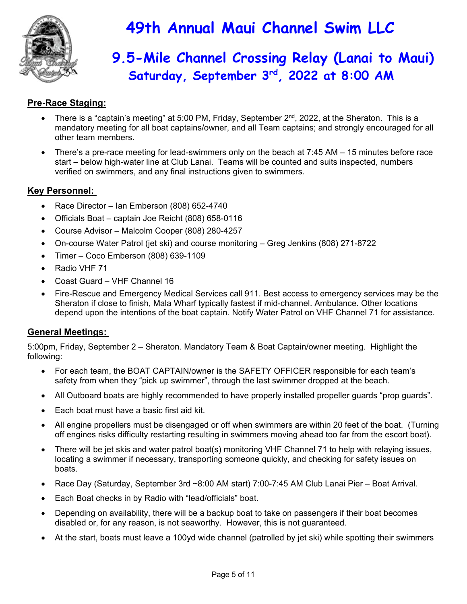

## **9.5-Mile Channel Crossing Relay (Lanai to Maui) Saturday, September 3rd, 2022 at 8:00 AM**

### **Pre-Race Staging:**

- There is a "captain's meeting" at 5:00 PM, Friday, September 2nd, 2022, at the Sheraton. This is a mandatory meeting for all boat captains/owner, and all Team captains; and strongly encouraged for all other team members.
- There's a pre-race meeting for lead-swimmers only on the beach at 7:45 AM 15 minutes before race start – below high-water line at Club Lanai. Teams will be counted and suits inspected, numbers verified on swimmers, and any final instructions given to swimmers.

#### **Key Personnel:**

- Race Director Ian Emberson (808) 652-4740
- Officials Boat captain Joe Reicht (808) 658-0116
- Course Advisor Malcolm Cooper (808) 280-4257
- On-course Water Patrol (jet ski) and course monitoring Greg Jenkins (808) 271-8722
- Timer Coco Emberson (808) 639-1109
- Radio VHF 71
- Coast Guard VHF Channel 16
- Fire-Rescue and Emergency Medical Services call 911. Best access to emergency services may be the Sheraton if close to finish, Mala Wharf typically fastest if mid-channel. Ambulance. Other locations depend upon the intentions of the boat captain. Notify Water Patrol on VHF Channel 71 for assistance.

#### **General Meetings:**

5:00pm, Friday, September 2 – Sheraton. Mandatory Team & Boat Captain/owner meeting. Highlight the following:

- For each team, the BOAT CAPTAIN/owner is the SAFETY OFFICER responsible for each team's safety from when they "pick up swimmer", through the last swimmer dropped at the beach.
- All Outboard boats are highly recommended to have properly installed propeller guards "prop guards".
- Each boat must have a basic first aid kit.
- All engine propellers must be disengaged or off when swimmers are within 20 feet of the boat. (Turning off engines risks difficulty restarting resulting in swimmers moving ahead too far from the escort boat).
- There will be jet skis and water patrol boat(s) monitoring VHF Channel 71 to help with relaying issues, locating a swimmer if necessary, transporting someone quickly, and checking for safety issues on boats.
- Race Day (Saturday, September 3rd ~8:00 AM start) 7:00-7:45 AM Club Lanai Pier Boat Arrival.
- Each Boat checks in by Radio with "lead/officials" boat.
- Depending on availability, there will be a backup boat to take on passengers if their boat becomes disabled or, for any reason, is not seaworthy. However, this is not guaranteed.
- At the start, boats must leave a 100yd wide channel (patrolled by jet ski) while spotting their swimmers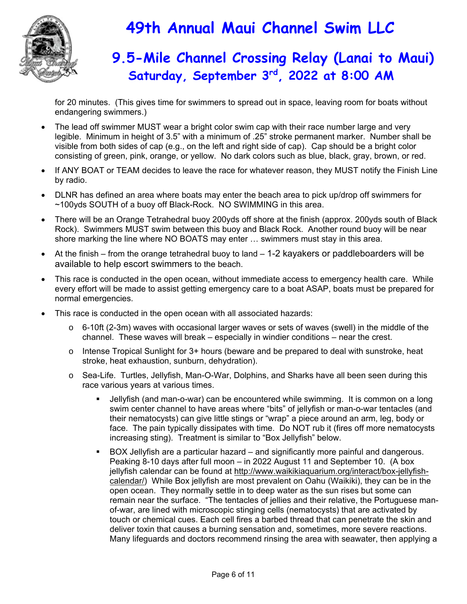

### **9.5-Mile Channel Crossing Relay (Lanai to Maui) Saturday, September 3rd, 2022 at 8:00 AM**

for 20 minutes. (This gives time for swimmers to spread out in space, leaving room for boats without endangering swimmers.)

- The lead off swimmer MUST wear a bright color swim cap with their race number large and very legible. Minimum in height of 3.5" with a minimum of .25" stroke permanent marker. Number shall be visible from both sides of cap (e.g., on the left and right side of cap). Cap should be a bright color consisting of green, pink, orange, or yellow. No dark colors such as blue, black, gray, brown, or red.
- If ANY BOAT or TEAM decides to leave the race for whatever reason, they MUST notify the Finish Line by radio.
- DLNR has defined an area where boats may enter the beach area to pick up/drop off swimmers for ~100yds SOUTH of a buoy off Black-Rock. NO SWIMMING in this area.
- There will be an Orange Tetrahedral buoy 200yds off shore at the finish (approx. 200yds south of Black Rock). Swimmers MUST swim between this buoy and Black Rock. Another round buoy will be near shore marking the line where NO BOATS may enter … swimmers must stay in this area.
- At the finish from the orange tetrahedral buoy to land 1-2 kayakers or paddleboarders will be available to help escort swimmers to the beach.
- This race is conducted in the open ocean, without immediate access to emergency health care. While every effort will be made to assist getting emergency care to a boat ASAP, boats must be prepared for normal emergencies.
- This race is conducted in the open ocean with all associated hazards:
	- $\circ$  6-10ft (2-3m) waves with occasional larger waves or sets of waves (swell) in the middle of the channel. These waves will break – especially in windier conditions – near the crest.
	- $\circ$  Intense Tropical Sunlight for 3+ hours (beware and be prepared to deal with sunstroke, heat stroke, heat exhaustion, sunburn, dehydration).
	- o Sea-Life. Turtles, Jellyfish, Man-O-War, Dolphins, and Sharks have all been seen during this race various years at various times.
		- Jellyfish (and man-o-war) can be encountered while swimming. It is common on a long swim center channel to have areas where "bits" of jellyfish or man-o-war tentacles (and their nematocysts) can give little stings or "wrap" a piece around an arm, leg, body or face. The pain typically dissipates with time. Do NOT rub it (fires off more nematocysts increasing sting). Treatment is similar to "Box Jellyfish" below.
		- BOX Jellyfish are a particular hazard and significantly more painful and dangerous. Peaking 8-10 days after full moon – in 2022 August 11 and September 10. (A box jellyfish calendar can be found at http://www.waikikiaquarium.org/interact/box-jellyfishcalendar/) While Box jellyfish are most prevalent on Oahu (Waikiki), they can be in the open ocean. They normally settle in to deep water as the sun rises but some can remain near the surface. "The tentacles of jellies and their relative, the Portuguese manof-war, are lined with microscopic stinging cells (nematocysts) that are activated by touch or chemical cues. Each cell fires a barbed thread that can penetrate the skin and deliver toxin that causes a burning sensation and, sometimes, more severe reactions. Many lifeguards and doctors recommend rinsing the area with seawater, then applying a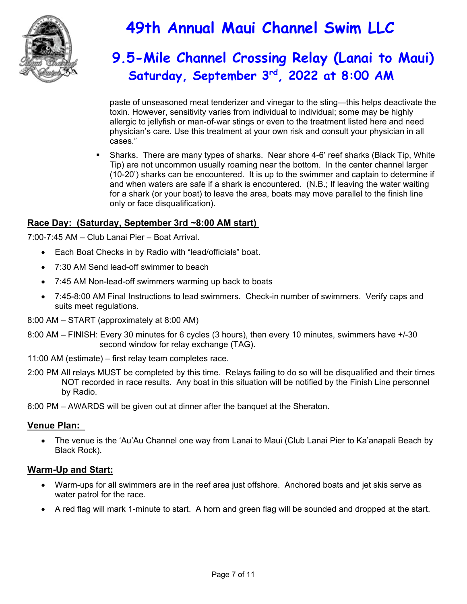

## **9.5-Mile Channel Crossing Relay (Lanai to Maui) Saturday, September 3rd, 2022 at 8:00 AM**

paste of unseasoned meat tenderizer and vinegar to the sting—this helps deactivate the toxin. However, sensitivity varies from individual to individual; some may be highly allergic to jellyfish or man-of-war stings or even to the treatment listed here and need physician's care. Use this treatment at your own risk and consult your physician in all cases."

 Sharks. There are many types of sharks. Near shore 4-6' reef sharks (Black Tip, White Tip) are not uncommon usually roaming near the bottom. In the center channel larger (10-20') sharks can be encountered. It is up to the swimmer and captain to determine if and when waters are safe if a shark is encountered. (N.B.; If leaving the water waiting for a shark (or your boat) to leave the area, boats may move parallel to the finish line only or face disqualification).

### **Race Day: (Saturday, September 3rd ~8:00 AM start)**

7:00-7:45 AM – Club Lanai Pier – Boat Arrival.

- Each Boat Checks in by Radio with "lead/officials" boat.
- 7:30 AM Send lead-off swimmer to beach
- 7:45 AM Non-lead-off swimmers warming up back to boats
- 7:45-8:00 AM Final Instructions to lead swimmers. Check-in number of swimmers. Verify caps and suits meet regulations.

8:00 AM – START (approximately at 8:00 AM)

- 8:00 AM FINISH: Every 30 minutes for 6 cycles (3 hours), then every 10 minutes, swimmers have +/-30 second window for relay exchange (TAG).
- 11:00 AM (estimate) first relay team completes race.
- 2:00 PM All relays MUST be completed by this time. Relays failing to do so will be disqualified and their times NOT recorded in race results. Any boat in this situation will be notified by the Finish Line personnel by Radio.

6:00 PM – AWARDS will be given out at dinner after the banquet at the Sheraton.

#### **Venue Plan:**

 The venue is the 'Au'Au Channel one way from Lanai to Maui (Club Lanai Pier to Ka'anapali Beach by Black Rock).

#### **Warm-Up and Start:**

- Warm-ups for all swimmers are in the reef area just offshore. Anchored boats and jet skis serve as water patrol for the race.
- A red flag will mark 1-minute to start. A horn and green flag will be sounded and dropped at the start.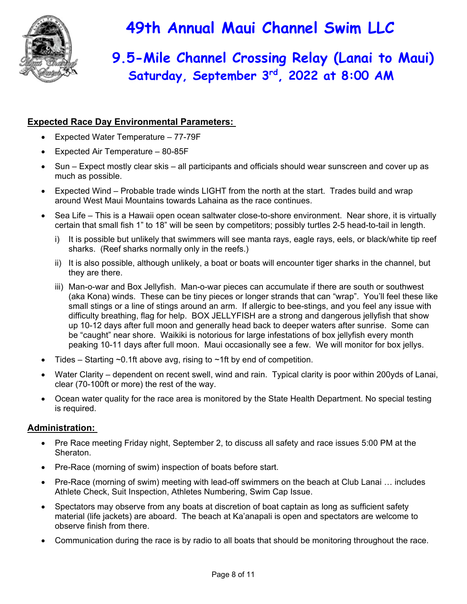

## **9.5-Mile Channel Crossing Relay (Lanai to Maui) Saturday, September 3rd, 2022 at 8:00 AM**

### **Expected Race Day Environmental Parameters:**

- Expected Water Temperature 77-79F
- Expected Air Temperature 80-85F
- Sun Expect mostly clear skis all participants and officials should wear sunscreen and cover up as much as possible.
- Expected Wind Probable trade winds LIGHT from the north at the start. Trades build and wrap around West Maui Mountains towards Lahaina as the race continues.
- Sea Life This is a Hawaii open ocean saltwater close-to-shore environment. Near shore, it is virtually certain that small fish 1" to 18" will be seen by competitors; possibly turtles 2-5 head-to-tail in length.
	- i) It is possible but unlikely that swimmers will see manta rays, eagle rays, eels, or black/white tip reef sharks. (Reef sharks normally only in the reefs.)
	- ii) It is also possible, although unlikely, a boat or boats will encounter tiger sharks in the channel, but they are there.
	- iii) Man-o-war and Box Jellyfish. Man-o-war pieces can accumulate if there are south or southwest (aka Kona) winds. These can be tiny pieces or longer strands that can "wrap". You'll feel these like small stings or a line of stings around an arm. If allergic to bee-stings, and you feel any issue with difficulty breathing, flag for help. BOX JELLYFISH are a strong and dangerous jellyfish that show up 10-12 days after full moon and generally head back to deeper waters after sunrise. Some can be "caught" near shore. Waikiki is notorious for large infestations of box jellyfish every month peaking 10-11 days after full moon. Maui occasionally see a few. We will monitor for box jellys.
- Tides Starting  $\sim$ 0.1ft above avg, rising to  $\sim$ 1ft by end of competition.
- Water Clarity dependent on recent swell, wind and rain. Typical clarity is poor within 200yds of Lanai, clear (70-100ft or more) the rest of the way.
- Ocean water quality for the race area is monitored by the State Health Department. No special testing is required.

#### **Administration:**

- Pre Race meeting Friday night, September 2, to discuss all safety and race issues 5:00 PM at the Sheraton.
- Pre-Race (morning of swim) inspection of boats before start.
- Pre-Race (morning of swim) meeting with lead-off swimmers on the beach at Club Lanai … includes Athlete Check, Suit Inspection, Athletes Numbering, Swim Cap Issue.
- Spectators may observe from any boats at discretion of boat captain as long as sufficient safety material (life jackets) are aboard. The beach at Ka'anapali is open and spectators are welcome to observe finish from there.
- Communication during the race is by radio to all boats that should be monitoring throughout the race.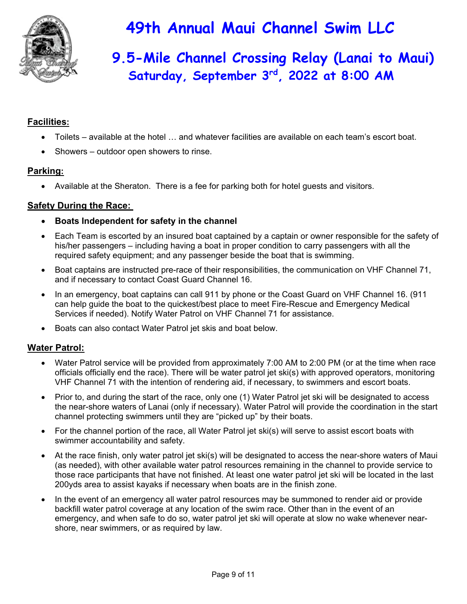

## **9.5-Mile Channel Crossing Relay (Lanai to Maui) Saturday, September 3rd, 2022 at 8:00 AM**

### **Facilities:**

- Toilets available at the hotel … and whatever facilities are available on each team's escort boat.
- Showers outdoor open showers to rinse.

### **Parking:**

Available at the Sheraton. There is a fee for parking both for hotel guests and visitors.

### **Safety During the Race:**

- **Boats Independent for safety in the channel**
- Each Team is escorted by an insured boat captained by a captain or owner responsible for the safety of his/her passengers – including having a boat in proper condition to carry passengers with all the required safety equipment; and any passenger beside the boat that is swimming.
- Boat captains are instructed pre-race of their responsibilities, the communication on VHF Channel 71, and if necessary to contact Coast Guard Channel 16.
- In an emergency, boat captains can call 911 by phone or the Coast Guard on VHF Channel 16. (911 can help guide the boat to the quickest/best place to meet Fire-Rescue and Emergency Medical Services if needed). Notify Water Patrol on VHF Channel 71 for assistance.
- Boats can also contact Water Patrol jet skis and boat below.

### **Water Patrol:**

- Water Patrol service will be provided from approximately 7:00 AM to 2:00 PM (or at the time when race officials officially end the race). There will be water patrol jet ski(s) with approved operators, monitoring VHF Channel 71 with the intention of rendering aid, if necessary, to swimmers and escort boats.
- Prior to, and during the start of the race, only one (1) Water Patrol jet ski will be designated to access the near-shore waters of Lanai (only if necessary). Water Patrol will provide the coordination in the start channel protecting swimmers until they are "picked up" by their boats.
- For the channel portion of the race, all Water Patrol jet ski(s) will serve to assist escort boats with swimmer accountability and safety.
- At the race finish, only water patrol jet ski(s) will be designated to access the near-shore waters of Maui (as needed), with other available water patrol resources remaining in the channel to provide service to those race participants that have not finished. At least one water patrol jet ski will be located in the last 200yds area to assist kayaks if necessary when boats are in the finish zone.
- In the event of an emergency all water patrol resources may be summoned to render aid or provide backfill water patrol coverage at any location of the swim race. Other than in the event of an emergency, and when safe to do so, water patrol jet ski will operate at slow no wake whenever nearshore, near swimmers, or as required by law.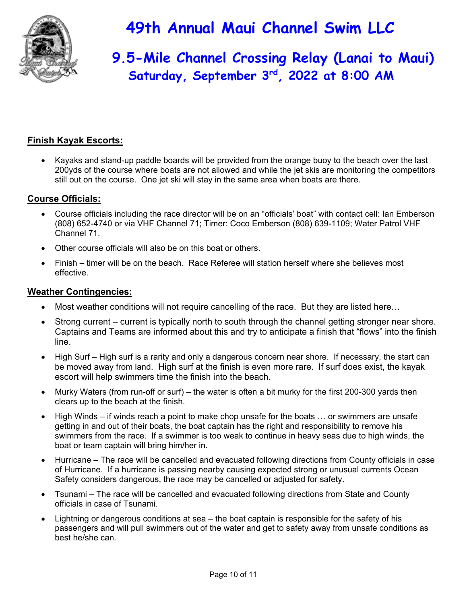

## **9.5-Mile Channel Crossing Relay (Lanai to Maui) Saturday, September 3rd, 2022 at 8:00 AM**

### **Finish Kayak Escorts:**

 Kayaks and stand-up paddle boards will be provided from the orange buoy to the beach over the last 200yds of the course where boats are not allowed and while the jet skis are monitoring the competitors still out on the course. One jet ski will stay in the same area when boats are there.

### **Course Officials:**

- Course officials including the race director will be on an "officials' boat" with contact cell: Ian Emberson (808) 652-4740 or via VHF Channel 71; Timer: Coco Emberson (808) 639-1109; Water Patrol VHF Channel 71.
- Other course officials will also be on this boat or others.
- Finish timer will be on the beach. Race Referee will station herself where she believes most effective.

#### **Weather Contingencies:**

- Most weather conditions will not require cancelling of the race. But they are listed here…
- Strong current current is typically north to south through the channel getting stronger near shore. Captains and Teams are informed about this and try to anticipate a finish that "flows" into the finish line.
- High Surf High surf is a rarity and only a dangerous concern near shore. If necessary, the start can be moved away from land. High surf at the finish is even more rare. If surf does exist, the kayak escort will help swimmers time the finish into the beach.
- Murky Waters (from run-off or surf) the water is often a bit murky for the first 200-300 yards then clears up to the beach at the finish.
- High Winds if winds reach a point to make chop unsafe for the boats … or swimmers are unsafe getting in and out of their boats, the boat captain has the right and responsibility to remove his swimmers from the race. If a swimmer is too weak to continue in heavy seas due to high winds, the boat or team captain will bring him/her in.
- Hurricane The race will be cancelled and evacuated following directions from County officials in case of Hurricane. If a hurricane is passing nearby causing expected strong or unusual currents Ocean Safety considers dangerous, the race may be cancelled or adjusted for safety.
- Tsunami The race will be cancelled and evacuated following directions from State and County officials in case of Tsunami.
- Lightning or dangerous conditions at sea the boat captain is responsible for the safety of his passengers and will pull swimmers out of the water and get to safety away from unsafe conditions as best he/she can.